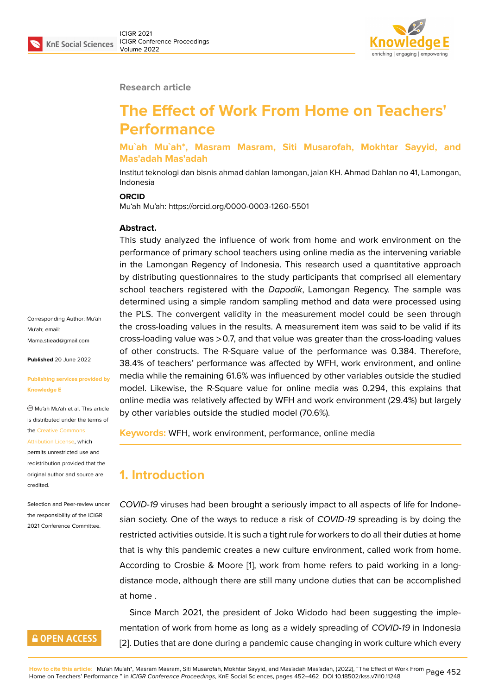

#### **Research article**

# **The Effect of Work From Home on Teachers' Performance**

**Mu`ah Mu`ah\*, Masram Masram, Siti Musarofah, Mokhtar Sayyid, and Mas'adah Mas'adah**

Institut teknologi dan bisnis ahmad dahlan lamongan, jalan KH. Ahmad Dahlan no 41, Lamongan, Indonesia

#### **ORCID**

Mu'ah Mu'ah: https://orcid.org/0000-0003-1260-5501

#### **Abstract.**

This study analyzed the influence of work from home and work environment on the performance of primary school teachers using online media as the intervening variable in the Lamongan Regency of Indonesia. This research used a quantitative approach by distributing questionnaires to the study participants that comprised all elementary school teachers registered with the *Dapodik*, Lamongan Regency. The sample was determined using a simple random sampling method and data were processed using the PLS. The convergent validity in the measurement model could be seen through the cross-loading values in the results. A measurement item was said to be valid if its cross-loading value was >0.7, and that value was greater than the cross-loading values of other constructs. The R-Square value of the performance was 0.384. Therefore, 38.4% of teachers' performance was affected by WFH, work environment, and online media while the remaining 61.6% was influenced by other variables outside the studied model. Likewise, the R-Square value for online media was 0.294, this explains that online media was relatively affected by WFH and work environment (29.4%) but largely by other variables outside the studied model (70.6%).

**Keywords:** WFH, work environment, performance, online media

## **1. Introduction**

*COVID-19* viruses had been brought a seriously impact to all aspects of life for Indonesian society. One of the ways to reduce a risk of *COVID-19* spreading is by doing the restricted activities outside. It is such a tight rule for workers to do all their duties at home that is why this pandemic creates a new culture environment, called work from home. According to Crosbie & Moore [1], work from home refers to paid working in a longdistance mode, although there are still many undone duties that can be accomplished at home .

Since March 2021, the presid[e](#page-9-0)nt of Joko Widodo had been suggesting the implementation of work from home as long as a widely spreading of *COVID-19* in Indonesia [2]. Duties that are done during a pandemic cause changing in work culture which every

Corresponding Author: Mu'ah Mu'ah; email: Mama.stiead@gmail.com

**Published** 20 June 2022

#### **[Publishing services prov](mailto:Mama.stiead@gmail.com)ided by Knowledge E**

Mu'ah Mu'ah et al. This article is distributed under the terms of the Creative Commons

Attribution License, which

permits unrestricted use and redistribution provided that the orig[inal author and sou](https://creativecommons.org/licenses/by/4.0/)rce are [credited.](https://creativecommons.org/licenses/by/4.0/)

Selection and Peer-review under the responsibility of the ICIGR 2021 Conference Committee.

### **GOPEN ACCESS**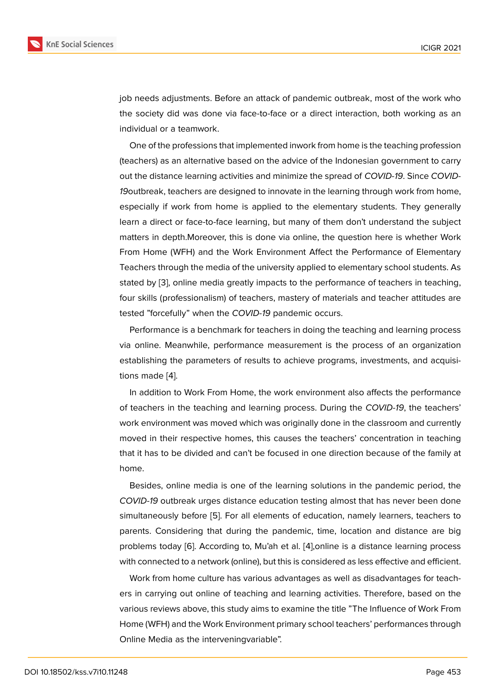job needs adjustments. Before an attack of pandemic outbreak, most of the work who the society did was done via face-to-face or a direct interaction, both working as an individual or a teamwork.

One of the professions that implemented inwork from home is the teaching profession (teachers) as an alternative based on the advice of the Indonesian government to carry out the distance learning activities and minimize the spread of *COVID-19*. Since *COVID-19*outbreak, teachers are designed to innovate in the learning through work from home, especially if work from home is applied to the elementary students. They generally learn a direct or face-to-face learning, but many of them don't understand the subject matters in depth.Moreover, this is done via online, the question here is whether Work From Home (WFH) and the Work Environment Affect the Performance of Elementary Teachers through the media of the university applied to elementary school students. As stated by [3], online media greatly impacts to the performance of teachers in teaching, four skills (professionalism) of teachers, mastery of materials and teacher attitudes are tested "forcefully" when the *COVID-19* pandemic occurs.

Perform[an](#page-9-1)ce is a benchmark for teachers in doing the teaching and learning process via online. Meanwhile, performance measurement is the process of an organization establishing the parameters of results to achieve programs, investments, and acquisitions made [4].

In addition to Work From Home, the work environment also affects the performance of teachers in the teaching and learning process. During the *COVID-19*, the teachers' work enviro[nm](#page-9-2)ent was moved which was originally done in the classroom and currently moved in their respective homes, this causes the teachers' concentration in teaching that it has to be divided and can't be focused in one direction because of the family at home.

Besides, online media is one of the learning solutions in the pandemic period, the *COVID-19* outbreak urges distance education testing almost that has never been done simultaneously before [5]. For all elements of education, namely learners, teachers to parents. Considering that during the pandemic, time, location and distance are big problems today [6]. According to, Mu'ah et al. [4],online is a distance learning process with connected to a net[wo](#page-9-3)rk (online), but this is considered as less effective and efficient.

Work from home culture has various advantages as well as disadvantages for teachers in carrying o[ut](#page-9-4) online of teaching and lear[ni](#page-9-2)ng activities. Therefore, based on the various reviews above, this study aims to examine the title "The Influence of Work From Home (WFH) and the Work Environment primary school teachers' performances through Online Media as the interveningvariable".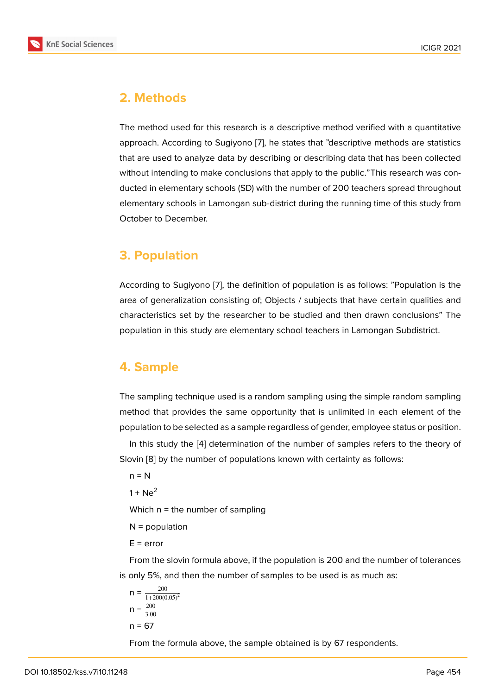# **2. Methods**

The method used for this research is a descriptive method verified with a quantitative approach. According to Sugiyono [7], he states that "descriptive methods are statistics that are used to analyze data by describing or describing data that has been collected without intending to make conclusions that apply to the public."This research was conducted in elementary schools (SD) [w](#page-9-5)ith the number of 200 teachers spread throughout elementary schools in Lamongan sub-district during the running time of this study from October to December.

# **3. Population**

According to Sugiyono [7], the definition of population is as follows: "Population is the area of generalization consisting of; Objects / subjects that have certain qualities and characteristics set by the researcher to be studied and then drawn conclusions" The population in this study [ar](#page-9-5)e elementary school teachers in Lamongan Subdistrict.

# **4. Sample**

The sampling technique used is a random sampling using the simple random sampling method that provides the same opportunity that is unlimited in each element of the population to be selected as a sample regardless of gender, employee status or position.

In this study the [4] determination of the number of samples refers to the theory of Slovin [8] by the number of populations known with certainty as follows:

 $n = N$ 

 $1 + Ne<sup>2</sup>$  $1 + Ne<sup>2</sup>$  $1 + Ne<sup>2</sup>$ 

Which  $n =$  the number of sampling

 $N =$  population

 $E = error$ 

From the slovin formula above, if the population is 200 and the number of tolerances is only 5%, and then the number of samples to be used is as much as:

$$
n = \frac{200}{1 + 200(0.05)^2}
$$

$$
n = \frac{200}{3.00}
$$

$$
n = 67
$$

From the formula above, the sample obtained is by 67 respondents.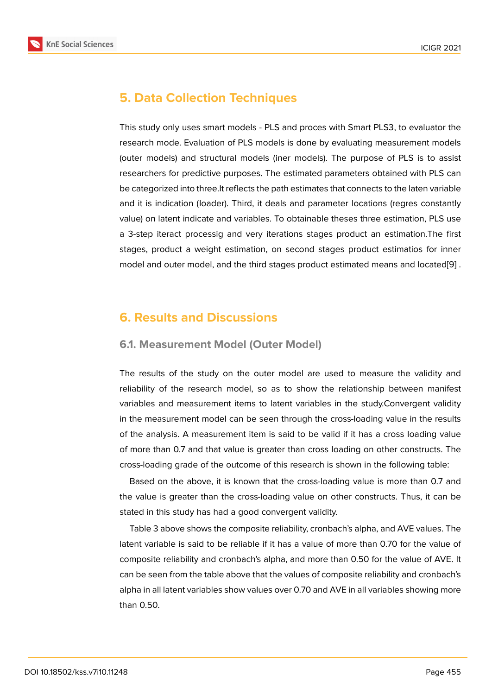# **5. Data Collection Techniques**

This study only uses smart models - PLS and proces with Smart PLS3, to evaluator the research mode. Evaluation of PLS models is done by evaluating measurement models (outer models) and structural models (iner models). The purpose of PLS is to assist researchers for predictive purposes. The estimated parameters obtained with PLS can be categorized into three.It reflects the path estimates that connects to the laten variable and it is indication (loader). Third, it deals and parameter locations (regres constantly value) on latent indicate and variables. To obtainable theses three estimation, PLS use a 3-step iteract processig and very iterations stages product an estimation.The first stages, product a weight estimation, on second stages product estimatios for inner model and outer model, and the third stages product estimated means and located[9] .

# **6. Results and Discussions**

### **6.1. Measurement Model (Outer Model)**

The results of the study on the outer model are used to measure the validity and reliability of the research model, so as to show the relationship between manifest variables and measurement items to latent variables in the study.Convergent validity in the measurement model can be seen through the cross-loading value in the results of the analysis. A measurement item is said to be valid if it has a cross loading value of more than 0.7 and that value is greater than cross loading on other constructs. The cross-loading grade of the outcome of this research is shown in the following table:

Based on the above, it is known that the cross-loading value is more than 0.7 and the value is greater than the cross-loading value on other constructs. Thus, it can be stated in this study has had a good convergent validity.

Table 3 above shows the composite reliability, cronbach's alpha, and AVE values. The latent variable is said to be reliable if it has a value of more than 0.70 for the value of composite reliability and cronbach's alpha, and more than 0.50 for the value of AVE. It can be seen from the table above that the values of composite reliability and cronbach's alpha in all latent variables show values over 0.70 and AVE in all variables showing more than 0.50.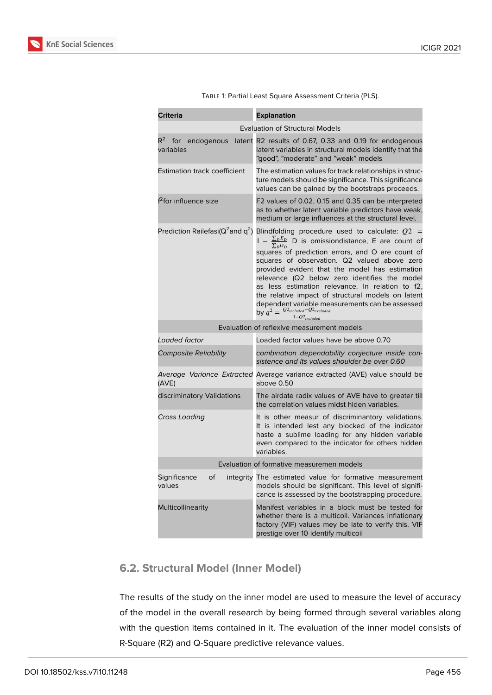

| <b>Criteria</b>                           | <b>Explanation</b>                                                                                                                                                                                                                                                                                                                                                                                                                                                                                                                                                                                                                 |  |  |  |  |
|-------------------------------------------|------------------------------------------------------------------------------------------------------------------------------------------------------------------------------------------------------------------------------------------------------------------------------------------------------------------------------------------------------------------------------------------------------------------------------------------------------------------------------------------------------------------------------------------------------------------------------------------------------------------------------------|--|--|--|--|
| <b>Evaluation of Structural Models</b>    |                                                                                                                                                                                                                                                                                                                                                                                                                                                                                                                                                                                                                                    |  |  |  |  |
| $R^2$<br>for endogenous<br>variables      | latent R2 results of 0.67, 0.33 and 0.19 for endogenous<br>latent variables in structural models identify that the<br>"good", "moderate" and "weak" models                                                                                                                                                                                                                                                                                                                                                                                                                                                                         |  |  |  |  |
| <b>Estimation track coefficient</b>       | The estimation values for track relationships in struc-<br>ture models should be significance. This significance<br>values can be gained by the bootstraps proceeds.                                                                                                                                                                                                                                                                                                                                                                                                                                                               |  |  |  |  |
| f <sup>2</sup> for influence size         | F2 values of 0.02, 0.15 and 0.35 can be interpreted<br>as to whether latent variable predictors have weak,<br>medium or large influences at the structural level.                                                                                                                                                                                                                                                                                                                                                                                                                                                                  |  |  |  |  |
| Prediction Railefasi( $Q^2$ and $q^2$ )   | Blindfolding procedure used to calculate: $Q2 =$<br>$1 - \frac{\sum_{D} E_{D}}{\sum_{i} \sum_{j} P_{i}}$ D is omissiondistance, E are count of<br>$\Sigma_D O_D$<br>squares of prediction errors, and O are count of<br>squares of observation. Q2 valued above zero<br>provided evident that the model has estimation<br>relevance (Q2 below zero identifies the model<br>as less estimation relevance. In relation to f2,<br>the relative impact of structural models on latent<br>dependent variable measurements can be assessed<br>by $q^2 = \frac{Q^2_{\text{included}} - Q^2_{\text{excluded}}}{1 - Q^2_{\text{included}}}$ |  |  |  |  |
|                                           | Evaluation of reflexive measurement models                                                                                                                                                                                                                                                                                                                                                                                                                                                                                                                                                                                         |  |  |  |  |
| Loaded factor                             | Loaded factor values have be above 0.70                                                                                                                                                                                                                                                                                                                                                                                                                                                                                                                                                                                            |  |  |  |  |
| <b>Composite Reliability</b>              | combination dependability conjecture inside con-<br>sistence and its values shoulder be over 0.60                                                                                                                                                                                                                                                                                                                                                                                                                                                                                                                                  |  |  |  |  |
| (AVE)                                     | Average Variance Extracted Average variance extracted (AVE) value should be<br>above 0.50                                                                                                                                                                                                                                                                                                                                                                                                                                                                                                                                          |  |  |  |  |
| discriminatory Validations                | The airdate radix values of AVE have to greater till<br>the correlation values midst hiden variables.                                                                                                                                                                                                                                                                                                                                                                                                                                                                                                                              |  |  |  |  |
| Cross Loading                             | It is other measur of discriminantory validations.<br>It is intended lest any blocked of the indicator<br>haste a sublime loading for any hidden variable<br>even compared to the indicator for others hidden<br>variables.                                                                                                                                                                                                                                                                                                                                                                                                        |  |  |  |  |
| Evaluation of formative measuremen models |                                                                                                                                                                                                                                                                                                                                                                                                                                                                                                                                                                                                                                    |  |  |  |  |
| Significance<br>Οf<br>values              | integrity The estimated value for formative measurement<br>models should be significant. This level of signifi-<br>cance is assessed by the bootstrapping procedure.                                                                                                                                                                                                                                                                                                                                                                                                                                                               |  |  |  |  |
| <b>Multicollinearity</b>                  | Manifest variables in a block must be tested for<br>whether there is a multicoil. Variances inflationary<br>factory (VIF) values mey be late to verify this. VIF<br>prestige over 10 identify multicoil                                                                                                                                                                                                                                                                                                                                                                                                                            |  |  |  |  |

Table 1: Partial Least Square Assessment Criteria (PLS).

# **6.2. Structural Model (Inner Model)**

The results of the study on the inner model are used to measure the level of accuracy of the model in the overall research by being formed through several variables along with the question items contained in it. The evaluation of the inner model consists of R-Square (R2) and Q-Square predictive relevance values.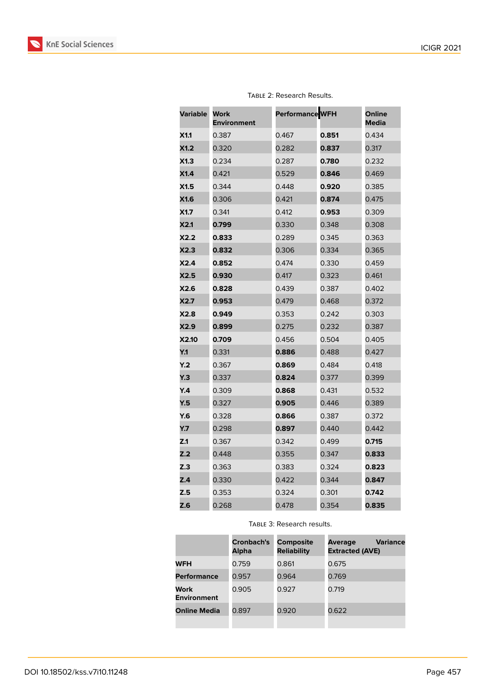

| Variable   | Work<br><b>Environment</b> | Performance WFH |       | Online<br><b>Media</b> |
|------------|----------------------------|-----------------|-------|------------------------|
| X1.1       | 0.387                      | 0.467           | 0.851 | 0.434                  |
| X1.2       | 0.320                      | 0.282           | 0.837 | 0.317                  |
| X1.3       | 0.234                      | 0.287           | 0.780 | 0.232                  |
| X1.4       | 0.421                      | 0.529           | 0.846 | 0.469                  |
| X1.5       | 0.344                      | 0.448           | 0.920 | 0.385                  |
| X1.6       | 0.306                      | 0.421           | 0.874 | 0.475                  |
| X1.7       | 0.341                      | 0.412           | 0.953 | 0.309                  |
| X2.1       | 0.799                      | 0.330           | 0.348 | 0.308                  |
| X2.2       | 0.833                      | 0.289           | 0.345 | 0.363                  |
| X2.3       | 0.832                      | 0.306           | 0.334 | 0.365                  |
| X2.4       | 0.852                      | 0.474           | 0.330 | 0.459                  |
| X2.5       | 0.930                      | 0.417           | 0.323 | 0.461                  |
| X2.6       | 0.828                      | 0.439           | 0.387 | 0.402                  |
| X2.7       | 0.953                      | 0.479           | 0.468 | 0.372                  |
| X2.8       | 0.949                      | 0.353           | 0.242 | 0.303                  |
| X2.9       | 0.899                      | 0.275           | 0.232 | 0.387                  |
| X2.10      | 0.709                      | 0.456           | 0.504 | 0.405                  |
| Y.1        | 0.331                      | 0.886           | 0.488 | 0.427                  |
| Y.2        | 0.367                      | 0.869           | 0.484 | 0.418                  |
| <b>Y.3</b> | 0.337                      | 0.824           | 0.377 | 0.399                  |
| Y.4        | 0.309                      | 0.868           | 0.431 | 0.532                  |
| Y.5        | 0.327                      | 0.905           | 0.446 | 0.389                  |
| Y.6        | 0.328                      | 0.866           | 0.387 | 0.372                  |
| Y.7        | 0.298                      | 0.897           | 0.440 | 0.442                  |
| Z.1        | 0.367                      | 0.342           | 0.499 | 0.715                  |
| Z.2        | 0.448                      | 0.355           | 0.347 | 0.833                  |
| Z.3        | 0.363                      | 0.383           | 0.324 | 0.823                  |
| Z.4        | 0.330                      | 0.422           | 0.344 | 0.847                  |
| Z.5        | 0.353                      | 0.324           | 0.301 | 0.742                  |
| Z.6        | 0.268                      | 0.478           | 0.354 | 0.835                  |

#### Table 2: Research Results.

Table 3: Research results.

|                            | Cronbach's<br>Alpha | <b>Composite</b><br><b>Reliability</b> | <b>Variance</b><br>Average<br><b>Extracted (AVE)</b> |
|----------------------------|---------------------|----------------------------------------|------------------------------------------------------|
| <b>WFH</b>                 | 0.759               | 0.861                                  | 0.675                                                |
| <b>Performance</b>         | 0.957               | 0.964                                  | 0.769                                                |
| Work<br><b>Environment</b> | 0.905               | 0.927                                  | 0.719                                                |
| <b>Online Media</b>        | 0.897               | 0.920                                  | 0.622                                                |
|                            |                     |                                        |                                                      |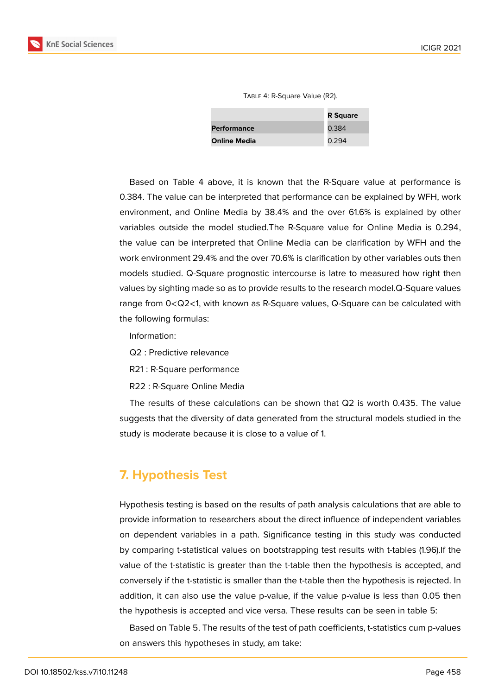|  |  | TABLE 4: R-Square Value (R2). |  |  |
|--|--|-------------------------------|--|--|
|--|--|-------------------------------|--|--|

|                     | <b>R</b> Square |
|---------------------|-----------------|
| <b>Performance</b>  | 0.384           |
| <b>Online Media</b> | 0.294           |

Based on Table 4 above, it is known that the R-Square value at performance is 0.384. The value can be interpreted that performance can be explained by WFH, work environment, and Online Media by 38.4% and the over 61.6% is explained by other variables outside the model studied.The R-Square value for Online Media is 0.294, the value can be interpreted that Online Media can be clarification by WFH and the work environment 29.4% and the over 70.6% is clarification by other variables outs then models studied. Q-Square prognostic intercourse is latre to measured how right then values by sighting made so as to provide results to the research model.Q-Square values range from 0<Q2<1, with known as R-Square values, Q-Square can be calculated with the following formulas:

Information:

- Q2 : Predictive relevance
- R21 : R-Square performance
- R22 : R-Square Online Media

The results of these calculations can be shown that Q2 is worth 0.435. The value suggests that the diversity of data generated from the structural models studied in the study is moderate because it is close to a value of 1.

# **7. Hypothesis Test**

Hypothesis testing is based on the results of path analysis calculations that are able to provide information to researchers about the direct influence of independent variables on dependent variables in a path. Significance testing in this study was conducted by comparing t-statistical values on bootstrapping test results with t-tables (1.96).If the value of the t-statistic is greater than the t-table then the hypothesis is accepted, and conversely if the t-statistic is smaller than the t-table then the hypothesis is rejected. In addition, it can also use the value p-value, if the value p-value is less than 0.05 then the hypothesis is accepted and vice versa. These results can be seen in table 5:

Based on Table 5. The results of the test of path coefficients, t-statistics cum p-values on answers this hypotheses in study, am take: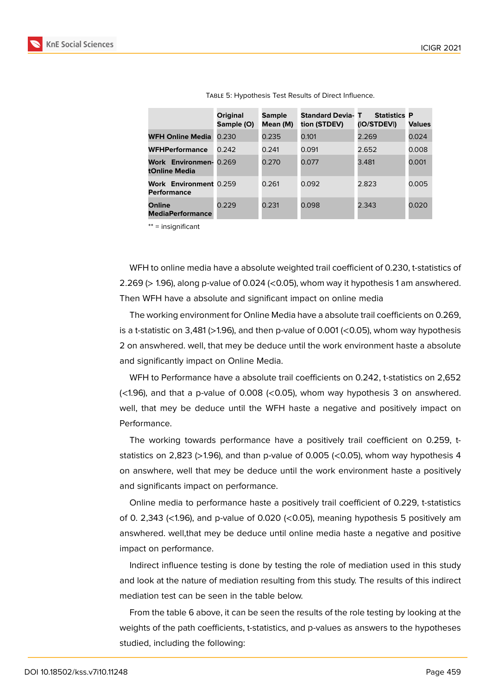

|                                              | <b>Original</b><br>Sample (O) | <b>Sample</b><br>Mean (M) | <b>Standard Devia-T</b><br>tion (STDEV) | <b>Statistics P</b><br>(IO/STDEVI) | <b>Values</b> |
|----------------------------------------------|-------------------------------|---------------------------|-----------------------------------------|------------------------------------|---------------|
| <b>WFH Online Media</b>                      | 0.230                         | 0.235                     | 0.101                                   | 2.269                              | 0.024         |
| <b>WFHPerformance</b>                        | 0.242                         | 0.241                     | 0.091                                   | 2.652                              | 0.008         |
| Work Environmen-<br>tOnline Media            | 0.269                         | 0.270                     | 0.077                                   | 3.481                              | 0.001         |
| Work Environment 0.259<br><b>Performance</b> |                               | 0.261                     | 0.092                                   | 2.823                              | 0.005         |
| <b>Online</b><br><b>MediaPerformance</b>     | 0.229                         | 0.231                     | 0.098                                   | 2.343                              | 0.020         |

Table 5: Hypothesis Test Results of Direct Influence.

\*\* = insignificant

WFH to online media have a absolute weighted trail coefficient of 0.230, t-statistics of 2.269 (> 1.96), along p-value of 0.024 (<0.05), whom way it hypothesis 1 am answhered. Then WFH have a absolute and significant impact on online media

The working environment for Online Media have a absolute trail coefficients on 0.269, is a t-statistic on 3,481 ( $>1.96$ ), and then p-value of 0.001 ( $<$ 0.05), whom way hypothesis 2 on answhered. well, that mey be deduce until the work environment haste a absolute and significantly impact on Online Media.

WFH to Performance have a absolute trail coefficients on 0.242, t-statistics on 2,652  $\left($  <1.96), and that a p-value of 0.008 (<0.05), whom way hypothesis 3 on answhered. well, that mey be deduce until the WFH haste a negative and positively impact on Performance.

The working towards performance have a positively trail coefficient on 0.259, tstatistics on 2,823 (>1.96), and than p-value of 0.005 (<0.05), whom way hypothesis 4 on answhere, well that mey be deduce until the work environment haste a positively and significants impact on performance.

Online media to performance haste a positively trail coefficient of 0.229, t-statistics of 0. 2,343 (<1.96), and p-value of 0.020 (<0.05), meaning hypothesis 5 positively am answhered. well,that mey be deduce until online media haste a negative and positive impact on performance.

Indirect influence testing is done by testing the role of mediation used in this study and look at the nature of mediation resulting from this study. The results of this indirect mediation test can be seen in the table below.

From the table 6 above, it can be seen the results of the role testing by looking at the weights of the path coefficients, t-statistics, and p-values as answers to the hypotheses studied, including the following: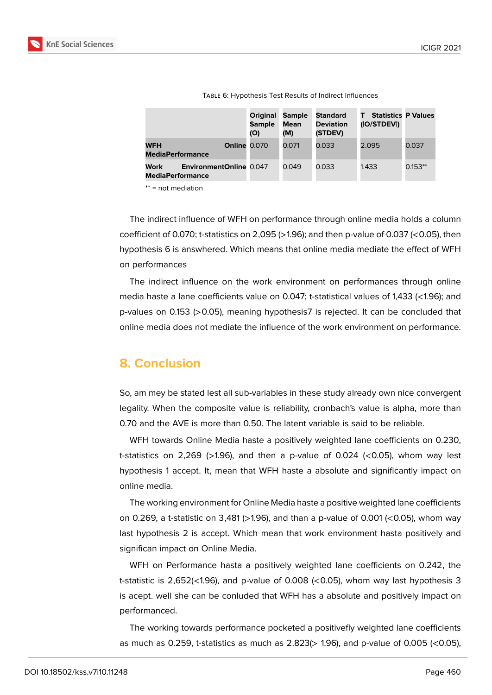

|                                                                          | <b>Original</b><br><b>Sample</b><br>(O) | <b>Sample</b><br>Mean<br>(M) | <b>Standard</b><br><b>Deviation</b><br>(STDEV) | <b>Statistics P Values</b><br>(IO/STDEVI) |           |
|--------------------------------------------------------------------------|-----------------------------------------|------------------------------|------------------------------------------------|-------------------------------------------|-----------|
| <b>Online 0.070</b><br><b>WFH</b><br><b>MediaPerformance</b>             |                                         | 0.071                        | 0.033                                          | 2.095                                     | 0.037     |
| <b>Work</b><br><b>EnvironmentOnline 0.047</b><br><b>MediaPerformance</b> |                                         | 0.049                        | 0.033                                          | 1.433                                     | $0.153**$ |
| and a substitution of                                                    |                                         |                              |                                                |                                           |           |

Table 6: Hypothesis Test Results of Indirect Influences

\*\* = not mediation

The indirect influence of WFH on performance through online media holds a column coefficient of 0.070; t-statistics on 2,095 ( $>1.96$ ); and then p-value of 0.037 ( $<$ 0.05), then hypothesis 6 is answhered. Which means that online media mediate the effect of WFH on performances

The indirect influence on the work environment on performances through online media haste a lane coefficients value on 0.047; t-statistical values of 1,433 (<1.96); and p-values on 0.153 (>0.05), meaning hypothesis7 is rejected. It can be concluded that online media does not mediate the influence of the work environment on performance.

# **8. Conclusion**

So, am mey be stated lest all sub-variables in these study already own nice convergent legality. When the composite value is reliability, cronbach's value is alpha, more than 0.70 and the AVE is more than 0.50. The latent variable is said to be reliable.

WFH towards Online Media haste a positively weighted lane coefficients on 0.230, t-statistics on 2,269 ( $>1.96$ ), and then a p-value of 0.024 ( $<$ 0.05), whom way lest hypothesis 1 accept. It, mean that WFH haste a absolute and significantly impact on online media.

The working environment for Online Media haste a positive weighted lane coefficients on 0.269, a t-statistic on 3,481 (>1.96), and than a p-value of 0.001 (<0.05), whom way last hypothesis 2 is accept. Which mean that work environment hasta positively and significan impact on Online Media.

WFH on Performance hasta a positively weighted lane coefficients on 0.242, the t-statistic is 2,652(<1.96), and p-value of 0.008 (<0.05), whom way last hypothesis 3 is acept. well she can be conluded that WFH has a absolute and positively impact on performanced.

The working towards performance pocketed a positivefly weighted lane coefficients as much as 0.259, t-statistics as much as  $2.823$ ( $> 1.96$ ), and p-value of 0.005 (<0.05),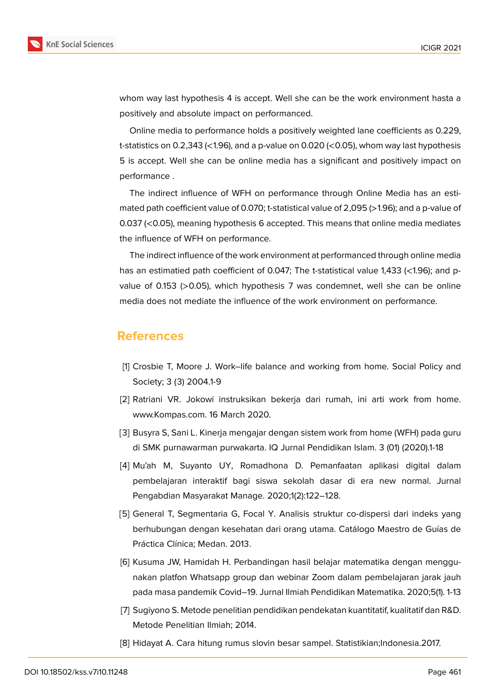

whom way last hypothesis 4 is accept. Well she can be the work environment hasta a positively and absolute impact on performanced.

Online media to performance holds a positively weighted lane coefficients as 0.229, t-statistics on 0.2,343 ( $\lt$ 1.96), and a p-value on 0.020 ( $\lt$ 0.05), whom way last hypothesis 5 is accept. Well she can be online media has a significant and positively impact on performance .

The indirect influence of WFH on performance through Online Media has an estimated path coefficient value of 0.070; t-statistical value of 2,095 (>1.96); and a p-value of 0.037 (<0.05), meaning hypothesis 6 accepted. This means that online media mediates the influence of WFH on performance.

The indirect influence of the work environment at performanced through online media has an estimatied path coefficient of 0.047; The t-statistical value 1,433 (<1.96); and pvalue of 0.153 (>0.05), which hypothesis 7 was condemnet, well she can be online media does not mediate the influence of the work environment on performance.

### **References**

- <span id="page-9-0"></span>[1] Crosbie T, Moore J. Work–life balance and working from home. Social Policy and Society; 3 (3) 2004.1-9
- [2] Ratriani VR. Jokowi instruksikan bekerja dari rumah, ini arti work from home. www.Kompas.com. 16 March 2020.
- <span id="page-9-1"></span>[3] Busyra S, Sani L. Kinerja mengajar dengan sistem work from home (WFH) pada guru di SMK purnawarman purwakarta. IQ Jurnal Pendidikan Islam. 3 (01) (2020).1-18
- <span id="page-9-2"></span>[4] Mu'ah M, Suyanto UY, Romadhona D. Pemanfaatan aplikasi digital dalam pembelajaran interaktif bagi siswa sekolah dasar di era new normal. Jurnal Pengabdian Masyarakat Manage. 2020;1(2):122–128.
- <span id="page-9-3"></span>[5] General T, Segmentaria G, Focal Y. Analisis struktur co-dispersi dari indeks yang berhubungan dengan kesehatan dari orang utama. Catálogo Maestro de Guías de Práctica Clínica; Medan. 2013.
- <span id="page-9-4"></span>[6] Kusuma JW, Hamidah H. Perbandingan hasil belajar matematika dengan menggunakan platfon Whatsapp group dan webinar Zoom dalam pembelajaran jarak jauh pada masa pandemik Covid–19. Jurnal Ilmiah Pendidikan Matematika. 2020;5(1). 1-13
- <span id="page-9-5"></span>[7] Sugiyono S. Metode penelitian pendidikan pendekatan kuantitatif, kualitatif dan R&D. Metode Penelitian Ilmiah; 2014.
- <span id="page-9-6"></span>[8] Hidayat A. Cara hitung rumus slovin besar sampel. Statistikian;Indonesia.2017.